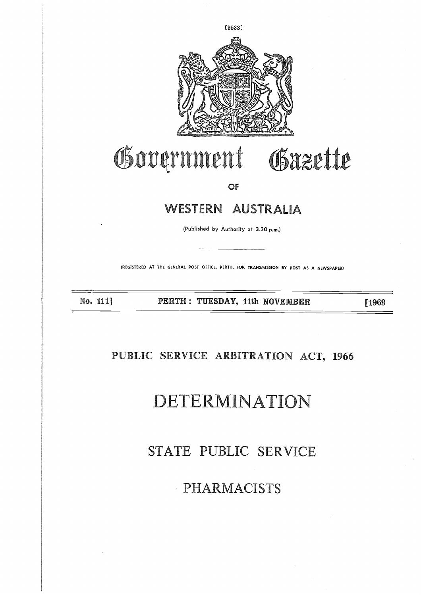

## Government Obazette

OF

## WESTERN AUSTRALIA

(Published by Authority at 3.30 p.m.)

(REGISTERED AT THE GENERAL POST OFFICE, PERTH, FOR TRANSMISSION BY POST AS A NEWSPAPER)

No. 111] PERTH : TUESDAY, 11th NOVEMBER [1969

### **21JBLIC SERVICE ARBITRATION ACT, 1966**

# DETERMINATION

## STATE PUBLIC SERVICE

PHARMACISTS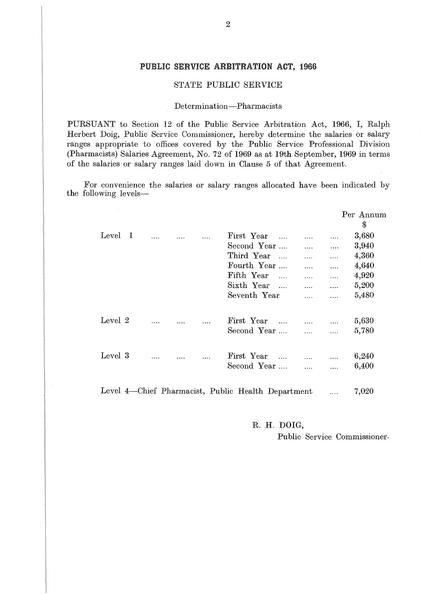#### PUBLIC SERVICE ARBITRATION ACT, 1966

#### STATE PUBLIC SERVICE

#### Determination—Pharmacists

PURSUANT to Section 12 of the Public Service Arbitration Act, 1966, I, Ralph Herbert Doig, Public Service Commissioner, hereby determine the salaries or salary ranges appropriate to offices covered by the Public Service Professional Division (Pharmacists) Salaries Agreement, No. 72 of 1969 as at 19th September, 1969 in terms of the salaries or salary ranges laid down in Clause 5 of that Agreement.

For convenience the salaries or salary ranges allocated have been indicated by the following levels

|              |  |  | ANT to Section 12 of the Public Service Arbitration Act, 1966, I, Ra.<br>Doig, Public Service Commissioner, hereby determine the salaries or sala<br>appropriate to offices covered by the Public Service Professional Divis<br>cists) Salaries Agreement, No. 72 of 1969 as at 19th September, 1969 in ter<br>alaries or salary ranges laid down in Clause 5 of that Agreement.<br>convenience the salaries or salary ranges allocated have been indicated |              |          |              |                |
|--------------|--|--|-------------------------------------------------------------------------------------------------------------------------------------------------------------------------------------------------------------------------------------------------------------------------------------------------------------------------------------------------------------------------------------------------------------------------------------------------------------|--------------|----------|--------------|----------------|
| wing levels- |  |  |                                                                                                                                                                                                                                                                                                                                                                                                                                                             |              |          |              |                |
|              |  |  |                                                                                                                                                                                                                                                                                                                                                                                                                                                             |              |          |              | Per Annu<br>\$ |
| Level 1      |  |  | First Year                                                                                                                                                                                                                                                                                                                                                                                                                                                  |              |          |              | 3,680          |
|              |  |  | Second Year                                                                                                                                                                                                                                                                                                                                                                                                                                                 |              | $\cdots$ | $\cdots$     | 3,940          |
|              |  |  | Third Year                                                                                                                                                                                                                                                                                                                                                                                                                                                  |              | $\cdots$ | .            | 4,360          |
|              |  |  | Fourth Year                                                                                                                                                                                                                                                                                                                                                                                                                                                 |              | $\cdots$ | .            | 4,640          |
|              |  |  | Fifth Year                                                                                                                                                                                                                                                                                                                                                                                                                                                  | $\mathbf{1}$ | $\cdots$ | $\ldots$     | 4,920          |
|              |  |  | Sixth Year                                                                                                                                                                                                                                                                                                                                                                                                                                                  |              | $\cdots$ | .            | 5,200          |
|              |  |  | Seventh Year                                                                                                                                                                                                                                                                                                                                                                                                                                                |              | .        | $\cdots$     | 5,480          |
| Level 2      |  |  | First Year                                                                                                                                                                                                                                                                                                                                                                                                                                                  |              | .        | .            | 5,630          |
|              |  |  | Second Year                                                                                                                                                                                                                                                                                                                                                                                                                                                 |              | $\cdots$ | $\cdots$     | 5,780          |
| Level 3      |  |  | First Year                                                                                                                                                                                                                                                                                                                                                                                                                                                  |              |          |              | 6,240          |
|              |  |  | Second Year                                                                                                                                                                                                                                                                                                                                                                                                                                                 |              | $\cdots$ | <br>$\cdots$ | 6,400          |
|              |  |  |                                                                                                                                                                                                                                                                                                                                                                                                                                                             |              | $\cdots$ |              |                |
|              |  |  | Level 4—Chief Pharmacist, Public Health Department                                                                                                                                                                                                                                                                                                                                                                                                          |              |          |              | 7,020          |
|              |  |  |                                                                                                                                                                                                                                                                                                                                                                                                                                                             | מזמת זז מ    |          |              |                |

**R. H. DOIG,**

Public Service Commissioner.

Per Annum